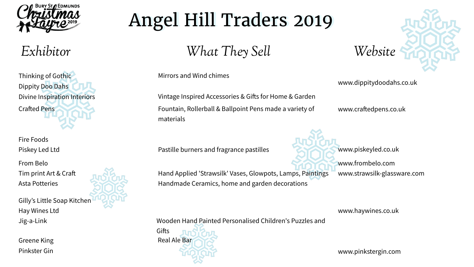Mirrors and Wind chimes

Fire Foods Piskey Led Ltd Vintage Inspired Accessories & Gifs for Home & Garden Fountain, Rollerball & Ballpoint Pens made a variety of materials

www.crafedpens.co.uk

www.piskeyled.co.uk

Hand Applied 'Strawsilk' Vases, Glowpots, Lamps, Paintings www.strawsilk-glassware.com Handmade Ceramics, home and garden decorations

**Gifts** Greene King **Real Ale Bar** Real Ale Bar



Pastille burners and fragrance pastilles

From Belo

Tim print Art & Craf

Asta Potteries

www.frombelo.com

Gilly's Little Soap Kitchen Hay Wines Ltd

Jig-a-Link Wooden Hand Painted Personalised Children's Puzzles and



## *Exhibitor What They Sell Website*

Thinking of Gothic Dippity Doo Dahs Divine Inspiration Interiors **Crafted Pens** 

## Angel Hill Traders 2019 Angel Hill Traders 2019

Pinkster Gin

www.dippitydoodahs.co.uk

www.haywines.co.uk

www.pinkstergin.com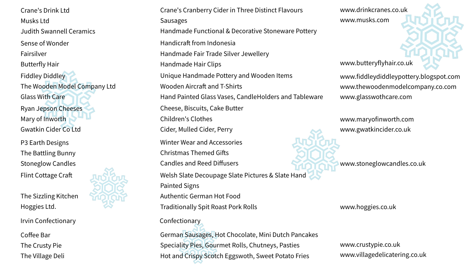www.drinkcranes.co.uk www.musks.com

Crane's Drink Ltd Musks Ltd Judith Swannell Ceramics Sense of Wonder Fairsilver Butterfly Hair Fiddley Diddley The Wooden Model Company Ltd Glass With Care Ryan Jepson Cheeses Mary of Inworth Gwatkin Cider Co Ltd P3 Earth Designs The Battling Bunny Stoneglow Candles Flint Cottage Craf

www.fiddleydiddleypottery.blogspot.com www.thewoodenmodelcompany.co.com www.glasswothcare.com

Crane's Cranberry Cider in Three Distinct Flavours Sausages Handmade Functional & Decorative Stoneware Pottery Handicraft from Indonesia Handmade Fair Trade Silver Jewellery Handmade Hair Clips www.butteryflyhair.co.uk Unique Handmade Pottery and Wooden Items Wooden Aircraft and T-Shirts Hand Painted Glass Vases, CandleHolders and Tableware Cheese, Biscuits, Cake Butter Children's Clothes Cider, Mulled Cider, Perry Winter Wear and Accessories Christmas Themed Gifs Candles and Reed Diffusers **WARE SERVICES** www.stoneglowcandles.co.uk Welsh Slate Decoupage Slate Pictures & Slate Hand Painted Signs Authentic German Hot Food Traditionally Spit Roast Pork Rolls www.hoggies.co.uk

www.maryofinworth.com www.gwatkincider.co.uk

The Sizzling Kitchen Hoggies Ltd.

Irvin Confectionary **Confectionary** 

German Sausages, Hot Chocolate, Mini Dutch Pancakes Speciality Pies, Gourmet Rolls, Chutneys, Pasties Hot and Crispy Scotch Eggswoth, Sweet Potato Fries

www.crustypie.co.uk www.villagedelicatering.co.uk





Coffee Bar The Crusty Pie The Village Deli